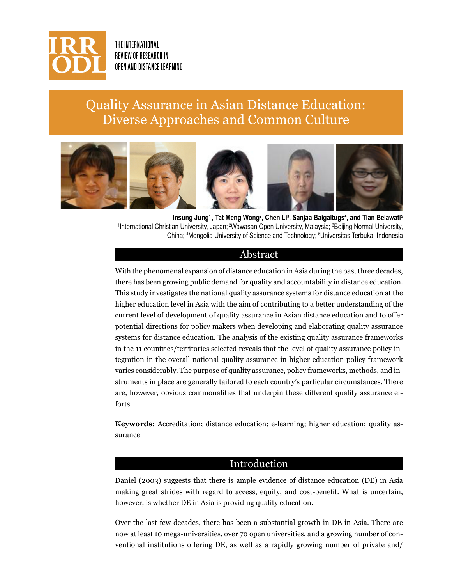

THE INTERNATIONAL REVIEW OF RESEARCH IN OPEN AND DISTANCE LEARNING

# Quality Assurance in Asian Distance Education: Diverse Approaches and Common Culture



Insung Jung<sup>1</sup>, Tat Meng Wong<sup>2</sup>, Chen Li<sup>3</sup>, Sanjaa Baigaltugs<sup>4</sup>, and Tian Belawati<sup>5</sup> <sup>1</sup>International Christian University, Japan; <sup>2</sup>Wawasan Open University, Malaysia; <sup>3</sup>Beijing Normal University, China; 4 Mongolia University of Science and Technology; 5 Universitas Terbuka, Indonesia

### Abstract

With the phenomenal expansion of distance education in Asia during the past three decades, there has been growing public demand for quality and accountability in distance education. This study investigates the national quality assurance systems for distance education at the higher education level in Asia with the aim of contributing to a better understanding of the current level of development of quality assurance in Asian distance education and to offer potential directions for policy makers when developing and elaborating quality assurance systems for distance education. The analysis of the existing quality assurance frameworks in the 11 countries/territories selected reveals that the level of quality assurance policy integration in the overall national quality assurance in higher education policy framework varies considerably. The purpose of quality assurance, policy frameworks, methods, and instruments in place are generally tailored to each country's particular circumstances. There are, however, obvious commonalities that underpin these different quality assurance efforts.

**Keywords:** Accreditation; distance education; e-learning; higher education; quality assurance

### Introduction

Daniel (2003) suggests that there is ample evidence of distance education (DE) in Asia making great strides with regard to access, equity, and cost-benefit. What is uncertain, however, is whether DE in Asia is providing quality education.

Over the last few decades, there has been a substantial growth in DE in Asia. There are now at least 10 mega-universities, over 70 open universities, and a growing number of conventional institutions offering DE, as well as a rapidly growing number of private and/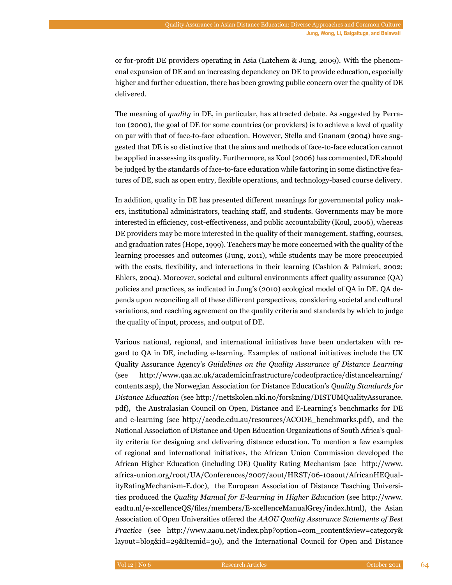or for-profit DE providers operating in Asia (Latchem & Jung, 2009). With the phenomenal expansion of DE and an increasing dependency on DE to provide education, especially higher and further education, there has been growing public concern over the quality of DE delivered.

The meaning of *quality* in DE, in particular, has attracted debate. As suggested by Perraton (2000), the goal of DE for some countries (or providers) is to achieve a level of quality on par with that of face-to-face education. However, Stella and Gnanam (2004) have suggested that DE is so distinctive that the aims and methods of face-to-face education cannot be applied in assessing its quality. Furthermore, as Koul (2006) has commented, DE should be judged by the standards of face-to-face education while factoring in some distinctive features of DE, such as open entry, flexible operations, and technology-based course delivery.

In addition, quality in DE has presented different meanings for governmental policy makers, institutional administrators, teaching staff, and students. Governments may be more interested in efficiency, cost-effectiveness, and public accountability (Koul, 2006), whereas DE providers may be more interested in the quality of their management, staffing, courses, and graduation rates (Hope, 1999). Teachers may be more concerned with the quality of the learning processes and outcomes (Jung, 2011), while students may be more preoccupied with the costs, flexibility, and interactions in their learning (Cashion & Palmieri, 2002; Ehlers, 2004). Moreover, societal and cultural environments affect quality assurance (QA) policies and practices, as indicated in Jung's (2010) ecological model of QA in DE. QA depends upon reconciling all of these different perspectives, considering societal and cultural variations, and reaching agreement on the quality criteria and standards by which to judge the quality of input, process, and output of DE.

Various national, regional, and international initiatives have been undertaken with regard to QA in DE, including e-learning. Examples of national initiatives include the UK Quality Assurance Agency's *Guidelines on the Quality Assurance of Distance Learning* (see [http://www.qaa.ac.uk/academicinfrastructure/codeofpractice/distancelearning/](http://www.qaa.ac.uk/academicinfrastructure/codeofpractice/distancelearning/contents.asp) [contents.asp\)](http://www.qaa.ac.uk/academicinfrastructure/codeofpractice/distancelearning/contents.asp), the Norwegian Association for Distance Education's *Quality Standards for Distance Education* (see [http://nettskolen.nki.no/forskning/DISTUMQualityAssurance.](http://nettskolen.nki.no/forskning/DISTUMQualityAssurance.pdf) [pdf\)](http://nettskolen.nki.no/forskning/DISTUMQualityAssurance.pdf), the Australasian Council on Open, Distance and E-Learning's benchmarks for DE and e-learning (see [http://acode.edu.au/resources/ACODE\\_benchmarks.pdf\)](http://acode.edu.au/resources/ACODE_benchmarks.pdf), and the National Association of Distance and Open Education Organizations of South Africa's quality criteria for designing and delivering distance education. To mention a few examples of regional and international initiatives, the African Union Commission developed the African Higher Education (including DE) Quality Rating Mechanism (see [http://www.](http://www.africa-union.org/root/UA/Conferences/2007/aout/HRST/06) [africa-union.org/root/UA/Conferences/2007/aout/HRST/06-](http://www.africa-union.org/root/UA/Conferences/2007/aout/HRST/06)10aout/AfricanHEQualityRatingMechanism-[E.doc\)](20E.doc), the European Association of Distance Teaching Universities produced the *Quality Manual for E-learning in Higher Education* (see [http://www.](http://www.eadtu.nl/e-xcellenceQS/files/members) [eadtu.nl/e-xcellenceQS/files/members](http://www.eadtu.nl/e-xcellenceQS/files/members)/E-xcellenceManualGrey[/index.html](index.html)), the Asian Association of Open Universities offered the *AAOU Quality Assurance Statements of Best Practice* (see [http://www.aaou.net/index.php?option=com\\_content&view=category&](http://www.aaou.net/index.php?option=com_content&view=category&layout) [layout](http://www.aaou.net/index.php?option=com_content&view=category&layout)=blog&id=29&Itemid=30), and the International Council for Open and Distance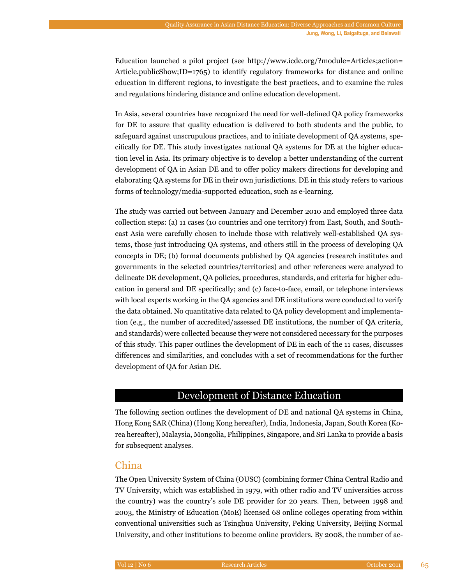Education launched a pilot project (see <http://www.icde.org/?module=Articles>;action= [Article.publicShow;](Article.publicShow)ID=1765) to identify regulatory frameworks for distance and online education in different regions, to investigate the best practices, and to examine the rules and regulations hindering distance and online education development.

In Asia, several countries have recognized the need for well-defined QA policy frameworks for DE to assure that quality education is delivered to both students and the public, to safeguard against unscrupulous practices, and to initiate development of QA systems, specifically for DE. This study investigates national QA systems for DE at the higher education level in Asia. Its primary objective is to develop a better understanding of the current development of QA in Asian DE and to offer policy makers directions for developing and elaborating QA systems for DE in their own jurisdictions. DE in this study refers to various forms of technology/media-supported education, such as e-learning.

The study was carried out between January and December 2010 and employed three data collection steps: (a) 11 cases (10 countries and one territory) from East, South, and Southeast Asia were carefully chosen to include those with relatively well-established QA systems, those just introducing QA systems, and others still in the process of developing QA concepts in DE; (b) formal documents published by QA agencies (research institutes and governments in the selected countries/territories) and other references were analyzed to delineate DE development, QA policies, procedures, standards, and criteria for higher education in general and DE specifically; and (c) face-to-face, email, or telephone interviews with local experts working in the QA agencies and DE institutions were conducted to verify the data obtained. No quantitative data related to QA policy development and implementation (e.g., the number of accredited/assessed DE institutions, the number of QA criteria, and standards) were collected because they were not considered necessary for the purposes of this study. This paper outlines the development of DE in each of the 11 cases, discusses differences and similarities, and concludes with a set of recommendations for the further development of QA for Asian DE.

# Development of Distance Education

The following section outlines the development of DE and national QA systems in China, Hong Kong SAR (China) (Hong Kong hereafter), India, Indonesia, Japan, South Korea (Korea hereafter), Malaysia, Mongolia, Philippines, Singapore, and Sri Lanka to provide a basis for subsequent analyses.

### China

The Open University System of China (OUSC) (combining former China Central Radio and TV University, which was established in 1979, with other radio and TV universities across the country) was the country's sole DE provider for 20 years. Then, between 1998 and 2003, the Ministry of Education (MoE) licensed 68 online colleges operating from within conventional universities such as Tsinghua University, Peking University, Beijing Normal University, and other institutions to become online providers. By 2008, the number of ac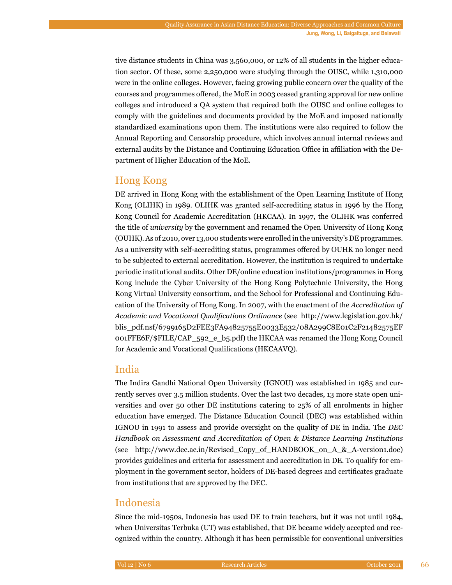tive distance students in China was 3,560,000, or 12% of all students in the higher education sector. Of these, some 2,250,000 were studying through the OUSC, while 1,310,000 were in the online colleges. However, facing growing public concern over the quality of the courses and programmes offered, the MoE in 2003 ceased granting approval for new online colleges and introduced a QA system that required both the OUSC and online colleges to comply with the guidelines and documents provided by the MoE and imposed nationally standardized examinations upon them. The institutions were also required to follow the Annual Reporting and Censorship procedure, which involves annual internal reviews and external audits by the Distance and Continuing Education Office in affiliation with the Department of Higher Education of the MoE.

# Hong Kong

DE arrived in Hong Kong with the establishment of the Open Learning Institute of Hong Kong (OLIHK) in 1989. OLIHK was granted self-accrediting status in 1996 by the Hong Kong Council for Academic Accreditation (HKCAA). In 1997, the OLIHK was conferred the title of *university* by the government and renamed the Open University of Hong Kong (OUHK). As of 2010, over 13,000 students were enrolled in the university's DE programmes. As a university with self-accrediting status, programmes offered by OUHK no longer need to be subjected to external accreditation. However, the institution is required to undertake periodic institutional audits. Other DE/online education institutions/programmes in Hong Kong include the Cyber University of the Hong Kong Polytechnic University, the Hong Kong Virtual University consortium, and the School for Professional and Continuing Education of the University of Hong Kong. In 2007, with the enactment of the *Accreditation of Academic and Vocational Qualifications Ordinance* (see [http://www.legislation.gov.hk/](http://www.legislation.gov.hk/blis_pdf.nsf/6799165D2FEE3FA94825755E003) [blis\\_pdf.nsf/6799165D2FEE3FA94825755E003](http://www.legislation.gov.hk/blis_pdf.nsf/6799165D2FEE3FA94825755E003)3E532/08A299C8E01C2F21482575EF 001FFE6F/\$FILE/[CAP\\_592\\_e\\_b5.pdf\)](CAP_592_e_b5.pdf) the HKCAA was renamed the Hong Kong Council for Academic and Vocational Qualifications (HKCAAVQ).

# India

The Indira Gandhi National Open University (IGNOU) was established in 1985 and currently serves over 3.5 million students. Over the last two decades, 13 more state open universities and over 50 other DE institutions catering to 25% of all enrolments in higher education have emerged. The Distance Education Council (DEC) was established within IGNOU in 1991 to assess and provide oversight on the quality of DE in India. The *DEC Handbook on Assessment and Accreditation of Open & Distance Learning Institutions*  (see [http://www.dec.ac.in/Revised\\_Copy\\_of\\_HANDBOOK\\_on\\_A\\_](http://www.dec.ac.in/Revised_Copy_of_HANDBOOK_on_A_)[&\\_A-version1.doc](_A-version1.doc)) provides guidelines and criteria for assessment and accreditation in DE. To qualify for employment in the government sector, holders of DE-based degrees and certificates graduate from institutions that are approved by the DEC.

# Indonesia

Since the mid-1950s, Indonesia has used DE to train teachers, but it was not until 1984, when Universitas Terbuka (UT) was established, that DE became widely accepted and recognized within the country. Although it has been permissible for conventional universities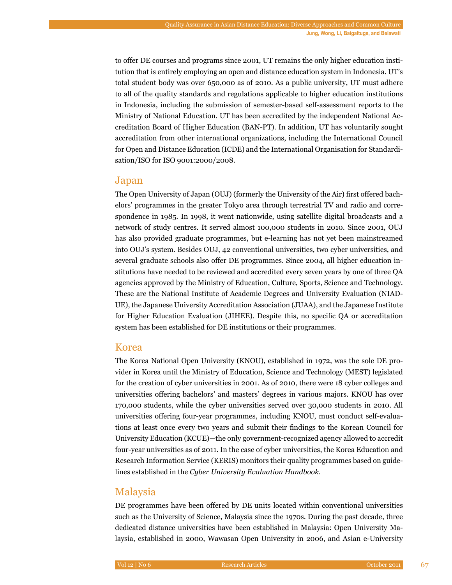to offer DE courses and programs since 2001, UT remains the only higher education institution that is entirely employing an open and distance education system in Indonesia. UT's total student body was over 650,000 as of 2010. As a public university, UT must adhere to all of the quality standards and regulations applicable to higher education institutions in Indonesia, including the submission of semester-based self-assessment reports to the Ministry of National Education. UT has been accredited by the independent National Accreditation Board of Higher Education (BAN-PT). In addition, UT has voluntarily sought accreditation from other international organizations, including the International Council for Open and Distance Education (ICDE) and the International Organisation for Standardisation/ISO for ISO 9001:2000/2008.

### Japan

The Open University of Japan (OUJ) (formerly the University of the Air) first offered bachelors' programmes in the greater Tokyo area through terrestrial TV and radio and correspondence in 1985. In 1998, it went nationwide, using satellite digital broadcasts and a network of study centres. It served almost 100,000 students in 2010. Since 2001, OUJ has also provided graduate programmes, but e-learning has not yet been mainstreamed into OUJ's system. Besides OUJ, 42 conventional universities, two cyber universities, and several graduate schools also offer DE programmes. Since 2004, all higher education institutions have needed to be reviewed and accredited every seven years by one of three QA agencies approved by the Ministry of Education, Culture, Sports, Science and Technology. These are the National Institute of Academic Degrees and University Evaluation (NIAD-UE), the Japanese University Accreditation Association (JUAA), and the Japanese Institute for Higher Education Evaluation (JIHEE). Despite this, no specific QA or accreditation system has been established for DE institutions or their programmes.

### Korea

The Korea National Open University (KNOU), established in 1972, was the sole DE provider in Korea until the Ministry of Education, Science and Technology (MEST) legislated for the creation of cyber universities in 2001. As of 2010, there were 18 cyber colleges and universities offering bachelors' and masters' degrees in various majors. KNOU has over 170,000 students, while the cyber universities served over 30,000 students in 2010. All universities offering four-year programmes, including KNOU, must conduct self-evaluations at least once every two years and submit their findings to the Korean Council for University Education (KCUE)—the only government-recognized agency allowed to accredit four-year universities as of 2011. In the case of cyber universities, the Korea Education and Research Information Service (KERIS) monitors their quality programmes based on guidelines established in the *Cyber University Evaluation Handbook*.

### Malaysia

DE programmes have been offered by DE units located within conventional universities such as the University of Science, Malaysia since the 1970s. During the past decade, three dedicated distance universities have been established in Malaysia: Open University Malaysia, established in 2000, Wawasan Open University in 2006, and Asian e-University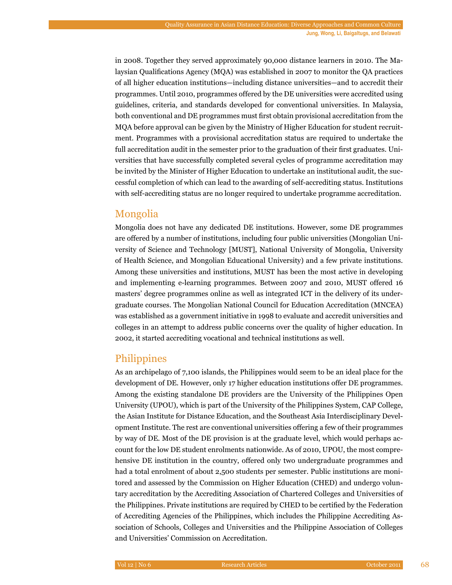in 2008. Together they served approximately 90,000 distance learners in 2010. The Malaysian Qualifications Agency (MQA) was established in 2007 to monitor the QA practices of all higher education institutions—including distance universities—and to accredit their programmes. Until 2010, programmes offered by the DE universities were accredited using guidelines, criteria, and standards developed for conventional universities. In Malaysia, both conventional and DE programmes must first obtain provisional accreditation from the MQA before approval can be given by the Ministry of Higher Education for student recruitment. Programmes with a provisional accreditation status are required to undertake the full accreditation audit in the semester prior to the graduation of their first graduates. Universities that have successfully completed several cycles of programme accreditation may be invited by the Minister of Higher Education to undertake an institutional audit, the successful completion of which can lead to the awarding of self-accrediting status. Institutions with self-accrediting status are no longer required to undertake programme accreditation.

# Mongolia

Mongolia does not have any dedicated DE institutions. However, some DE programmes are offered by a number of institutions, including four public universities (Mongolian University of Science and Technology [MUST], National University of Mongolia, University of Health Science, and Mongolian Educational University) and a few private institutions. Among these universities and institutions, MUST has been the most active in developing and implementing e-learning programmes. Between 2007 and 2010, MUST offered 16 masters' degree programmes online as well as integrated ICT in the delivery of its undergraduate courses. The Mongolian National Council for Education Accreditation (MNCEA) was established as a government initiative in 1998 to evaluate and accredit universities and colleges in an attempt to address public concerns over the quality of higher education. In 2002, it started accrediting vocational and technical institutions as well.

# Philippines

As an archipelago of 7,100 islands, the Philippines would seem to be an ideal place for the development of DE. However, only 17 higher education institutions offer DE programmes. Among the existing standalone DE providers are the University of the Philippines Open University (UPOU), which is part of the University of the Philippines System, CAP College, the Asian Institute for Distance Education, and the Southeast Asia Interdisciplinary Development Institute. The rest are conventional universities offering a few of their programmes by way of DE. Most of the DE provision is at the graduate level, which would perhaps account for the low DE student enrolments nationwide. As of 2010, UPOU, the most comprehensive DE institution in the country, offered only two undergraduate programmes and had a total enrolment of about 2,500 students per semester. Public institutions are monitored and assessed by the Commission on Higher Education (CHED) and undergo voluntary accreditation by the Accrediting Association of Chartered Colleges and Universities of the Philippines. Private institutions are required by CHED to be certified by the Federation of Accrediting Agencies of the Philippines, which includes the Philippine Accrediting Association of Schools, Colleges and Universities and the Philippine Association of Colleges and Universities' Commission on Accreditation.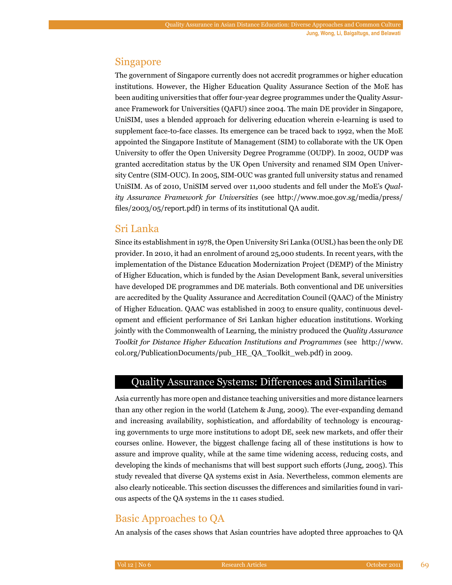#### **Jung, Wong, Li, Baigaltugs, and Belawati**

# Singapore

The government of Singapore currently does not accredit programmes or higher education institutions. However, the Higher Education Quality Assurance Section of the MoE has been auditing universities that offer four-year degree programmes under the Quality Assurance Framework for Universities (QAFU) since 2004. The main DE provider in Singapore, UniSIM, uses a blended approach for delivering education wherein e-learning is used to supplement face-to-face classes. Its emergence can be traced back to 1992, when the MoE appointed the Singapore Institute of Management (SIM) to collaborate with the UK Open University to offer the Open University Degree Programme (OUDP). In 2002, OUDP was granted accreditation status by the UK Open University and renamed SIM Open University Centre (SIM-OUC). In 2005, SIM-OUC was granted full university status and renamed UniSIM. As of 2010, UniSIM served over 11,000 students and fell under the MoE's *Quality Assurance Framework for Universities* (see [http://www.moe.gov.sg/media/press/](http://www.moe.gov.sg/media/press/files/2003/05/report.pdf) [files/2003/05/report.pdf\)](http://www.moe.gov.sg/media/press/files/2003/05/report.pdf) in terms of its institutional QA audit.

### Sri Lanka

Since its establishment in 1978, the Open University Sri Lanka (OUSL) has been the only DE provider. In 2010, it had an enrolment of around 25,000 students. In recent years, with the implementation of the Distance Education Modernization Project (DEMP) of the Ministry of Higher Education, which is funded by the Asian Development Bank, several universities have developed DE programmes and DE materials. Both conventional and DE universities are accredited by the Quality Assurance and Accreditation Council (QAAC) of the Ministry of Higher Education. QAAC was established in 2003 to ensure quality, continuous development and efficient performance of Sri Lankan higher education institutions. Working jointly with the Commonwealth of Learning, the ministry produced the *Quality Assurance Toolkit for Distance Higher Education Institutions and Programmes* (see [http://www.](http://www.col.org/PublicationDocuments/pub_HE_QA_Toolkit_web.pdf) [col.org/PublicationDocuments/pub\\_HE\\_QA\\_Toolkit\\_web.pdf\)](http://www.col.org/PublicationDocuments/pub_HE_QA_Toolkit_web.pdf) in 2009.

### Quality Assurance Systems: Differences and Similarities

Asia currently has more open and distance teaching universities and more distance learners than any other region in the world (Latchem & Jung, 2009). The ever-expanding demand and increasing availability, sophistication, and affordability of technology is encouraging governments to urge more institutions to adopt DE, seek new markets, and offer their courses online. However, the biggest challenge facing all of these institutions is how to assure and improve quality, while at the same time widening access, reducing costs, and developing the kinds of mechanisms that will best support such efforts (Jung, 2005). This study revealed that diverse QA systems exist in Asia. Nevertheless, common elements are also clearly noticeable. This section discusses the differences and similarities found in various aspects of the QA systems in the 11 cases studied.

# Basic Approaches to QA

An analysis of the cases shows that Asian countries have adopted three approaches to QA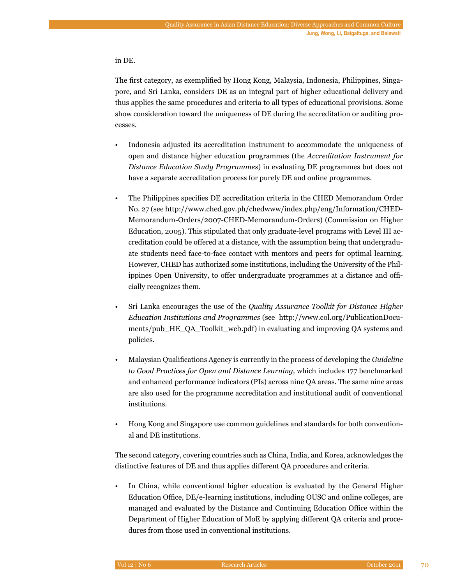#### in DE.

The first category, as exemplified by Hong Kong, Malaysia, Indonesia, Philippines, Singapore, and Sri Lanka, considers DE as an integral part of higher educational delivery and thus applies the same procedures and criteria to all types of educational provisions. Some show consideration toward the uniqueness of DE during the accreditation or auditing processes.

- Indonesia adjusted its accreditation instrument to accommodate the uniqueness of open and distance higher education programmes (the *Accreditation Instrument for Distance Education Study Programmes*) in evaluating DE programmes but does not have a separate accreditation process for purely DE and online programmes.
- The Philippines specifies DE accreditation criteria in the CHED Memorandum Order No. 27 (see <http://www.ched.gov.ph/chedwww/index.php/eng/Information/CHED>-Memorandum-Orders/2007-CHED-Memorandum-Orders) (Commission on Higher Education, 2005). This stipulated that only graduate-level programs with Level III accreditation could be offered at a distance, with the assumption being that undergraduate students need face-to-face contact with mentors and peers for optimal learning. However, CHED has authorized some institutions, including the University of the Philippines Open University, to offer undergraduate programmes at a distance and officially recognizes them.
- Sri Lanka encourages the use of the *Quality Assurance Toolkit for Distance Higher Education Institutions and Programmes* (see [http://www.col.org/PublicationDocu](http://www.col.org/PublicationDocuments/pub_HE_QA_Toolkit_web.pdf)[ments/pub\\_HE\\_QA\\_Toolkit\\_web.pdf](http://www.col.org/PublicationDocuments/pub_HE_QA_Toolkit_web.pdf)) in evaluating and improving QA systems and policies.
- Malaysian Qualifications Agency is currently in the process of developing the *Guideline to Good Practices for Open and Distance Learning,* which includes 177 benchmarked and enhanced performance indicators (PIs) across nine QA areas. The same nine areas are also used for the programme accreditation and institutional audit of conventional institutions.
- Hong Kong and Singapore use common guidelines and standards for both conventional and DE institutions.

The second category, covering countries such as China, India, and Korea, acknowledges the distinctive features of DE and thus applies different QA procedures and criteria.

In China, while conventional higher education is evaluated by the General Higher Education Office, DE/e-learning institutions, including OUSC and online colleges, are managed and evaluated by the Distance and Continuing Education Office within the Department of Higher Education of MoE by applying different QA criteria and procedures from those used in conventional institutions.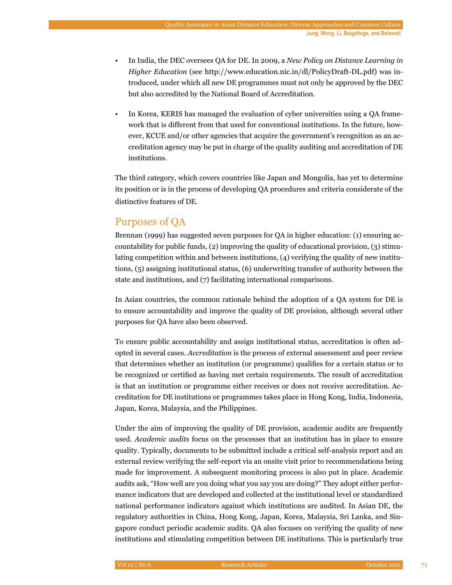- In India, the DEC oversees QA for DE. In 2009, a *New Policy on Distance Learning in Higher Education* (see <http://www.education.nic.in/dl/PolicyDraft-DL.pdf>) was introduced, under which all new DE programmes must not only be approved by the DEC but also accredited by the National Board of Accreditation.
- In Korea, KERIS has managed the evaluation of cyber universities using a QA framework that is different from that used for conventional institutions. In the future, however, KCUE and/or other agencies that acquire the government's recognition as an accreditation agency may be put in charge of the quality auditing and accreditation of DE institutions.

The third category, which covers countries like Japan and Mongolia, has yet to determine its position or is in the process of developing QA procedures and criteria considerate of the distinctive features of DE.

# Purposes of QA

Brennan (1999) has suggested seven purposes for QA in higher education: (1) ensuring accountability for public funds, (2) improving the quality of educational provision, (3) stimulating competition within and between institutions, (4) verifying the quality of new institutions, (5) assigning institutional status, (6) underwriting transfer of authority between the state and institutions, and (7) facilitating international comparisons.

In Asian countries, the common rationale behind the adoption of a QA system for DE is to ensure accountability and improve the quality of DE provision, although several other purposes for QA have also been observed.

To ensure public accountability and assign institutional status, accreditation is often adopted in several cases. *Accreditation* is the process of external assessment and peer review that determines whether an institution (or programme) qualifies for a certain status or to be recognized or certified as having met certain requirements. The result of accreditation is that an institution or programme either receives or does not receive accreditation. Accreditation for DE institutions or programmes takes place in Hong Kong, India, Indonesia, Japan, Korea, Malaysia, and the Philippines.

Under the aim of improving the quality of DE provision, academic audits are frequently used. *Academic audits* focus on the processes that an institution has in place to ensure quality. Typically, documents to be submitted include a critical self-analysis report and an external review verifying the self-report via an onsite visit prior to recommendations being made for improvement. A subsequent monitoring process is also put in place. Academic audits ask, "How well are you doing what you say you are doing?" They adopt either performance indicators that are developed and collected at the institutional level or standardized national performance indicators against which institutions are audited. In Asian DE, the regulatory authorities in China, Hong Kong, Japan, Korea, Malaysia, Sri Lanka, and Singapore conduct periodic academic audits. QA also focuses on verifying the quality of new institutions and stimulating competition between DE institutions. This is particularly true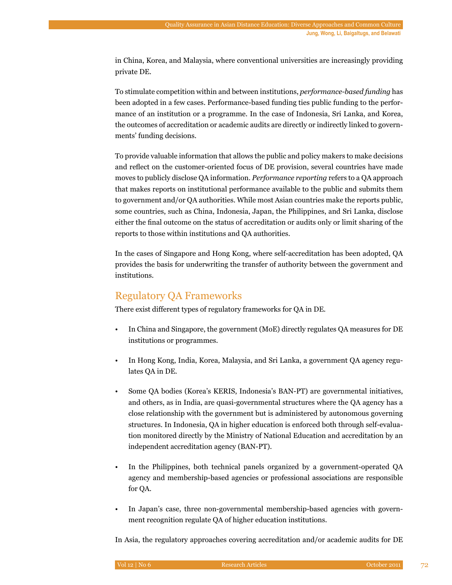in China, Korea, and Malaysia, where conventional universities are increasingly providing private DE.

To stimulate competition within and between institutions, *performance-based funding* has been adopted in a few cases. Performance-based funding ties public funding to the performance of an institution or a programme. In the case of Indonesia, Sri Lanka, and Korea, the outcomes of accreditation or academic audits are directly or indirectly linked to governments' funding decisions.

To provide valuable information that allows the public and policy makers to make decisions and reflect on the customer-oriented focus of DE provision, several countries have made moves to publicly disclose QA information. *Performance reporting* refers to a QA approach that makes reports on institutional performance available to the public and submits them to government and/or QA authorities. While most Asian countries make the reports public, some countries, such as China, Indonesia, Japan, the Philippines, and Sri Lanka, disclose either the final outcome on the status of accreditation or audits only or limit sharing of the reports to those within institutions and QA authorities.

In the cases of Singapore and Hong Kong, where self-accreditation has been adopted, QA provides the basis for underwriting the transfer of authority between the government and institutions.

# Regulatory QA Frameworks

There exist different types of regulatory frameworks for QA in DE.

- In China and Singapore, the government (MoE) directly regulates QA measures for DE institutions or programmes.
- In Hong Kong, India, Korea, Malaysia, and Sri Lanka, a government QA agency regulates QA in DE.
- Some QA bodies (Korea's KERIS, Indonesia's BAN-PT) are governmental initiatives, and others, as in India, are quasi-governmental structures where the QA agency has a close relationship with the government but is administered by autonomous governing structures. In Indonesia, QA in higher education is enforced both through self-evaluation monitored directly by the Ministry of National Education and accreditation by an independent accreditation agency (BAN-PT).
- In the Philippines, both technical panels organized by a government-operated QA agency and membership-based agencies or professional associations are responsible for QA.
- In Japan's case, three non-governmental membership-based agencies with government recognition regulate QA of higher education institutions.

In Asia, the regulatory approaches covering accreditation and/or academic audits for DE

| Vol 12   No $6$ | Research Articles | October 2011 | $\overline{\mathbf{a}}$ |
|-----------------|-------------------|--------------|-------------------------|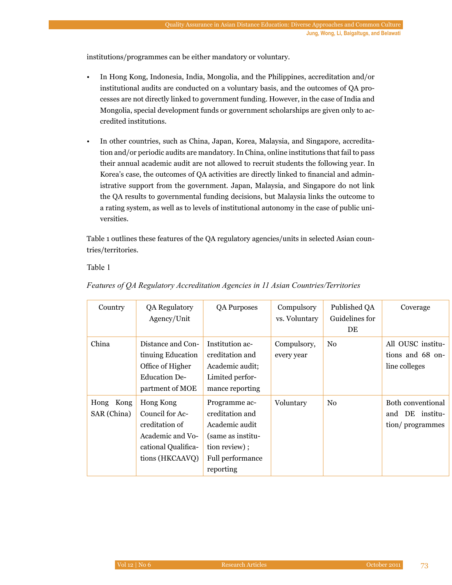institutions/programmes can be either mandatory or voluntary.

- In Hong Kong, Indonesia, India, Mongolia, and the Philippines, accreditation and/or institutional audits are conducted on a voluntary basis, and the outcomes of QA processes are not directly linked to government funding. However, in the case of India and Mongolia, special development funds or government scholarships are given only to accredited institutions.
- In other countries, such as China, Japan, Korea, Malaysia, and Singapore, accreditation and/or periodic audits are mandatory. In China, online institutions that fail to pass their annual academic audit are not allowed to recruit students the following year. In Korea's case, the outcomes of QA activities are directly linked to financial and administrative support from the government. Japan, Malaysia, and Singapore do not link the QA results to governmental funding decisions, but Malaysia links the outcome to a rating system, as well as to levels of institutional autonomy in the case of public universities.

Table 1 outlines these features of the QA regulatory agencies/units in selected Asian countries/territories.

Table 1

| Country                  | QA Regulatory<br>Agency/Unit                                                                                 | <b>QA Purposes</b>                                                                                                        | Compulsory<br>vs. Voluntary | Published QA<br>Guidelines for<br>DE | Coverage                                                      |
|--------------------------|--------------------------------------------------------------------------------------------------------------|---------------------------------------------------------------------------------------------------------------------------|-----------------------------|--------------------------------------|---------------------------------------------------------------|
| China                    | Distance and Con-<br>tinuing Education<br>Office of Higher<br><b>Education De-</b><br>partment of MOE        | Institution ac-<br>creditation and<br>Academic audit;<br>Limited perfor-<br>mance reporting                               | Compulsory,<br>every year   | No                                   | All OUSC institu-<br>tions and 68 on-<br>line colleges        |
| Hong Kong<br>SAR (China) | Hong Kong<br>Council for Ac-<br>creditation of<br>Academic and Vo-<br>cational Qualifica-<br>tions (HKCAAVQ) | Programme ac-<br>creditation and<br>Academic audit<br>(same as institu-<br>tion review);<br>Full performance<br>reporting | Voluntary                   | No                                   | Both conventional<br>DE<br>institu-<br>and<br>tion/programmes |

#### *Features of QA Regulatory Accreditation Agencies in 11 Asian Countries/Territories*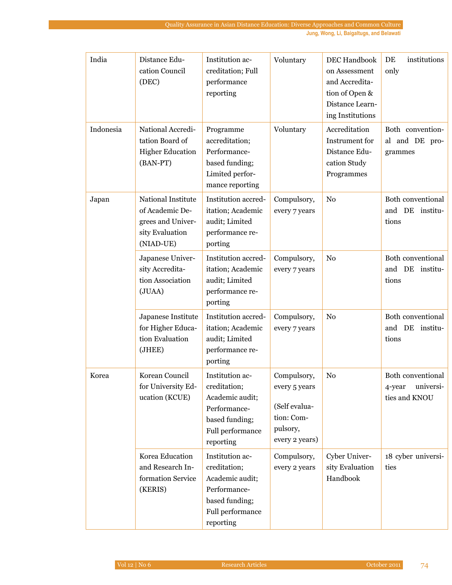**Jung, Wong, Li, Baigaltugs, and Belawati**

| India     | Distance Edu-<br>cation Council<br>(DEC)                                                   | Institution ac-<br>creditation; Full<br>performance<br>reporting                                                      | Voluntary                                                                                 | <b>DEC</b> Handbook<br>on Assessment<br>and Accredita-<br>tion of Open &<br>Distance Learn-<br>ing Institutions | institutions<br>DE<br>only                                |
|-----------|--------------------------------------------------------------------------------------------|-----------------------------------------------------------------------------------------------------------------------|-------------------------------------------------------------------------------------------|-----------------------------------------------------------------------------------------------------------------|-----------------------------------------------------------|
| Indonesia | National Accredi-<br>tation Board of<br><b>Higher Education</b><br>(BAN-PT)                | Programme<br>accreditation;<br>Performance-<br>based funding;<br>Limited perfor-<br>mance reporting                   | Voluntary                                                                                 | Accreditation<br>Instrument for<br>Distance Edu-<br>cation Study<br>Programmes                                  | Both convention-<br>al and DE pro-<br>grammes             |
| Japan     | National Institute<br>of Academic De-<br>grees and Univer-<br>sity Evaluation<br>(NIAD-UE) | Institution accred-<br>itation; Academic<br>audit; Limited<br>performance re-<br>porting                              | Compulsory,<br>every 7 years                                                              | N <sub>0</sub>                                                                                                  | Both conventional<br>and DE institu-<br>tions             |
|           | Japanese Univer-<br>sity Accredita-<br>tion Association<br>(JUAA)                          | Institution accred-<br>itation; Academic<br>audit; Limited<br>performance re-<br>porting                              | Compulsory,<br>every 7 years                                                              | N <sub>0</sub>                                                                                                  | Both conventional<br>and DE institu-<br>tions             |
|           | Japanese Institute<br>for Higher Educa-<br>tion Evaluation<br>(JHEE)                       | Institution accred-<br>itation; Academic<br>audit; Limited<br>performance re-<br>porting                              | Compulsory,<br>every 7 years                                                              | No                                                                                                              | Both conventional<br>institu-<br>and DE<br>tions          |
| Korea     | Korean Council<br>for University Ed-<br>ucation (KCUE)                                     | Institution ac-<br>creditation;<br>Academic audit;<br>Performance-<br>based funding;<br>Full performance<br>reporting | Compulsory,<br>every 5 years<br>(Self evalua-<br>tion: Com-<br>pulsory,<br>every 2 years) | N <sub>0</sub>                                                                                                  | Both conventional<br>universi-<br>4-year<br>ties and KNOU |
|           | Korea Education<br>and Research In-<br>formation Service<br>(KERIS)                        | Institution ac-<br>creditation;<br>Academic audit;<br>Performance-<br>based funding;<br>Full performance<br>reporting | Compulsory,<br>every 2 years                                                              | Cyber Univer-<br>sity Evaluation<br>Handbook                                                                    | 18 cyber universi-<br>ties                                |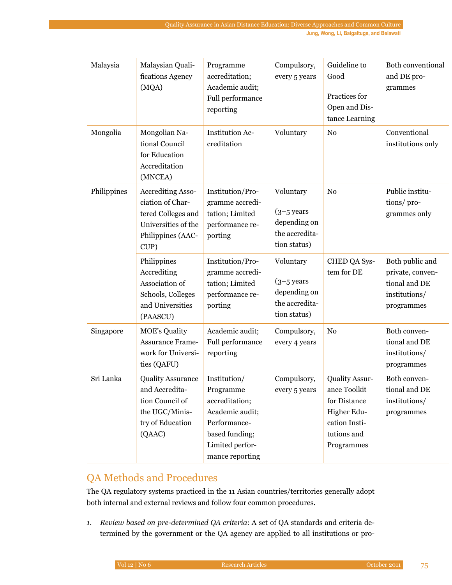| Malaysia    | Malaysian Quali-<br>fications Agency<br>(MQA)                                                                                                                                                                  | Programme<br>accreditation;<br>Academic audit;<br>Full performance<br>reporting                                                        | Compulsory,<br>every 5 years                                                | Guideline to<br>Good<br>Practices for<br>Open and Dis-<br>tance Learning                                    | <b>Both conventional</b><br>and DE pro-<br>grammes                                  |
|-------------|----------------------------------------------------------------------------------------------------------------------------------------------------------------------------------------------------------------|----------------------------------------------------------------------------------------------------------------------------------------|-----------------------------------------------------------------------------|-------------------------------------------------------------------------------------------------------------|-------------------------------------------------------------------------------------|
| Mongolia    | Mongolian Na-<br>tional Council<br>for Education<br>Accreditation<br>(MNCEA)                                                                                                                                   | <b>Institution Ac-</b><br>creditation                                                                                                  | Voluntary                                                                   | N <sub>0</sub>                                                                                              | Conventional<br>institutions only                                                   |
| Philippines | Institution/Pro-<br><b>Accrediting Asso-</b><br>ciation of Char-<br>gramme accredi-<br>tation; Limited<br>tered Colleges and<br>Universities of the<br>performance re-<br>Philippines (AAC-<br>porting<br>CUP) |                                                                                                                                        | Voluntary<br>$(3-5$ years<br>depending on<br>the accredita-<br>tion status) | N <sub>0</sub>                                                                                              | Public institu-<br>tions/pro-<br>grammes only                                       |
|             | Philippines<br>Accrediting<br>Association of<br>Schools, Colleges<br>and Universities<br>(PAASCU)                                                                                                              | Institution/Pro-<br>gramme accredi-<br>tation; Limited<br>performance re-<br>porting                                                   | Voluntary<br>$(3-5$ years<br>depending on<br>the accredita-<br>tion status) | CHED QA Sys-<br>tem for DE                                                                                  | Both public and<br>private, conven-<br>tional and DE<br>institutions/<br>programmes |
| Singapore   | <b>MOE's Quality</b><br><b>Assurance Frame-</b><br>work for Universi-<br>ties (QAFU)                                                                                                                           | Academic audit;<br>Full performance<br>reporting                                                                                       | Compulsory,<br>every 4 years                                                | N <sub>0</sub>                                                                                              | Both conven-<br>tional and DE<br>institutions/<br>programmes                        |
| Sri Lanka   | <b>Quality Assurance</b><br>and Accredita-<br>tion Council of<br>the UGC/Minis-<br>try of Education<br>(QAAC)                                                                                                  | Institution/<br>Programme<br>accreditation;<br>Academic audit;<br>Performance-<br>based funding;<br>Limited perfor-<br>mance reporting | Compulsory,<br>every 5 years                                                | Quality Assur-<br>ance Toolkit<br>for Distance<br>Higher Edu-<br>cation Insti-<br>tutions and<br>Programmes | Both conven-<br>tional and DE<br>institutions/<br>programmes                        |

# QA Methods and Procedures

The QA regulatory systems practiced in the 11 Asian countries/territories generally adopt both internal and external reviews and follow four common procedures.

*1. Review based on pre-determined QA criteria*: A set of QA standards and criteria determined by the government or the QA agency are applied to all institutions or pro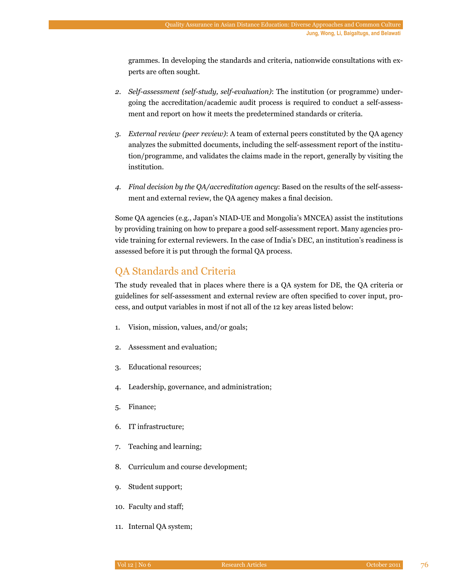grammes. In developing the standards and criteria, nationwide consultations with experts are often sought.

- *2. Self-assessment (self-study, self-evaluation)*: The institution (or programme) undergoing the accreditation/academic audit process is required to conduct a self-assessment and report on how it meets the predetermined standards or criteria.
- *3. External review (peer review)*: A team of external peers constituted by the QA agency analyzes the submitted documents, including the self-assessment report of the institution/programme, and validates the claims made in the report, generally by visiting the institution.
- *4. Final decision by the QA/accreditation agency*: Based on the results of the self-assessment and external review, the QA agency makes a final decision.

Some QA agencies (e.g., Japan's NIAD-UE and Mongolia's MNCEA) assist the institutions by providing training on how to prepare a good self-assessment report. Many agencies provide training for external reviewers. In the case of India's DEC, an institution's readiness is assessed before it is put through the formal QA process.

# QA Standards and Criteria

The study revealed that in places where there is a QA system for DE, the QA criteria or guidelines for self-assessment and external review are often specified to cover input, process, and output variables in most if not all of the 12 key areas listed below:

- 1. Vision, mission, values, and/or goals;
- 2. Assessment and evaluation;
- 3. Educational resources;
- 4. Leadership, governance, and administration;
- 5. Finance;
- 6. IT infrastructure;
- 7. Teaching and learning;
- 8. Curriculum and course development;
- 9. Student support;
- 10. Faculty and staff;
- 11. Internal QA system;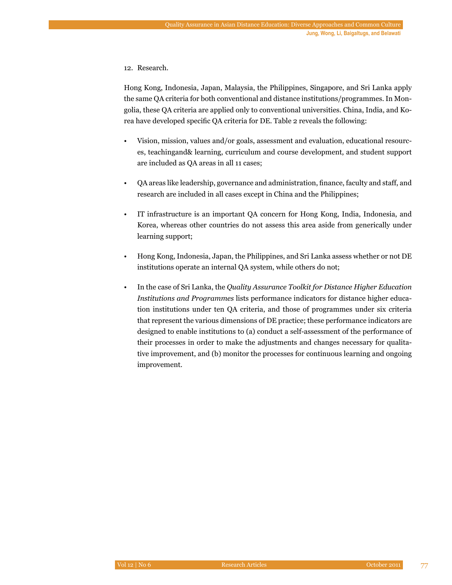#### 12. Research.

Hong Kong, Indonesia, Japan, Malaysia, the Philippines, Singapore, and Sri Lanka apply the same QA criteria for both conventional and distance institutions/programmes. In Mongolia, these QA criteria are applied only to conventional universities. China, India, and Korea have developed specific QA criteria for DE. Table 2 reveals the following:

- Vision, mission, values and/or goals, assessment and evaluation, educational resources, teachingand& learning, curriculum and course development, and student support are included as QA areas in all 11 cases;
- QA areas like leadership, governance and administration, finance, faculty and staff, and research are included in all cases except in China and the Philippines;
- IT infrastructure is an important QA concern for Hong Kong, India, Indonesia, and Korea, whereas other countries do not assess this area aside from generically under learning support;
- Hong Kong, Indonesia, Japan, the Philippines, and Sri Lanka assess whether or not DE institutions operate an internal QA system, while others do not;
- In the case of Sri Lanka, the *Quality Assurance Toolkit for Distance Higher Education Institutions and Programmes* lists performance indicators for distance higher education institutions under ten QA criteria, and those of programmes under six criteria that represent the various dimensions of DE practice; these performance indicators are designed to enable institutions to (a) conduct a self-assessment of the performance of their processes in order to make the adjustments and changes necessary for qualitative improvement, and (b) monitor the processes for continuous learning and ongoing improvement.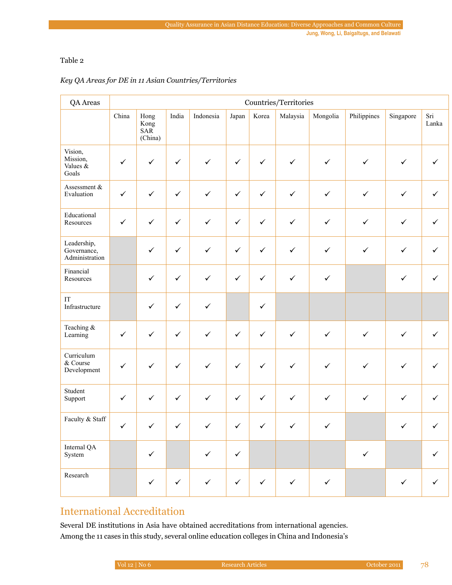#### Table 2

| QA Areas                                     | Countries/Territories |                                       |              |              |              |              |              |              |              |              |              |
|----------------------------------------------|-----------------------|---------------------------------------|--------------|--------------|--------------|--------------|--------------|--------------|--------------|--------------|--------------|
|                                              | China                 | Hong<br>Kong<br><b>SAR</b><br>(China) | India        | Indonesia    | Japan        | Korea        | Malaysia     | Mongolia     | Philippines  | Singapore    | Sri<br>Lanka |
| Vision,<br>Mission,<br>Values &<br>Goals     | $\checkmark$          | $\checkmark$                          | $\checkmark$ | $\checkmark$ | $\checkmark$ | $\checkmark$ | $\checkmark$ | $\checkmark$ | $\checkmark$ | $\checkmark$ | ✓            |
| Assessment &<br>Evaluation                   | $\checkmark$          | $\checkmark$                          | $\checkmark$ | $\checkmark$ | $\checkmark$ | $\checkmark$ | $\checkmark$ | $\checkmark$ | $\checkmark$ | $\checkmark$ | ✓            |
| Educational<br>Resources                     | $\checkmark$          | $\checkmark$                          | $\checkmark$ | $\checkmark$ | $\checkmark$ | $\checkmark$ | $\checkmark$ | $\checkmark$ | $\checkmark$ | $\checkmark$ | ✓            |
| Leadership,<br>Governance,<br>Administration |                       | $\checkmark$                          | $\checkmark$ | $\checkmark$ | $\checkmark$ | $\checkmark$ | $\checkmark$ | $\checkmark$ | $\checkmark$ | $\checkmark$ | ✓            |
| Financial<br>Resources                       |                       | $\checkmark$                          | $\checkmark$ | $\checkmark$ | $\checkmark$ | $\checkmark$ | $\checkmark$ | $\checkmark$ |              | $\checkmark$ | ✓            |
| $\operatorname{IT}$<br>Infrastructure        |                       | $\checkmark$                          | $\checkmark$ | $\checkmark$ |              | $\checkmark$ |              |              |              |              |              |
| Teaching &<br>Learning                       | $\checkmark$          | $\checkmark$                          | $\checkmark$ | $\checkmark$ | $\checkmark$ | $\checkmark$ | $\checkmark$ | $\checkmark$ | $\checkmark$ | $\checkmark$ | ✓            |
| Curriculum<br>& Course<br>Development        | $\checkmark$          | $\checkmark$                          | $\checkmark$ | $\checkmark$ | $\checkmark$ | $\checkmark$ | $\checkmark$ | $\checkmark$ | $\checkmark$ | $\checkmark$ | ✓            |
| Student<br>Support                           | $\checkmark$          | $\checkmark$                          | $\checkmark$ | $\checkmark$ | $\checkmark$ | $\checkmark$ | $\checkmark$ | $\checkmark$ | $\checkmark$ | $\checkmark$ | ✓            |
| Faculty & Staff                              | $\checkmark$          | ✓                                     | ✓            | ✓            | $\checkmark$ | $\checkmark$ | $\checkmark$ | ✓            |              | $\checkmark$ | ✓            |
| Internal QA<br>System                        |                       | $\checkmark$                          |              | $\checkmark$ | $\checkmark$ |              |              |              | $\checkmark$ |              | ✓            |
| Research                                     |                       | $\checkmark$                          | $\checkmark$ | $\checkmark$ | $\checkmark$ | $\checkmark$ | $\checkmark$ | $\checkmark$ |              | $\checkmark$ | ✓            |

#### *Key QA Areas for DE in 11 Asian Countries/Territories*

# International Accreditation

Several DE institutions in Asia have obtained accreditations from international agencies. Among the 11 cases in this study, several online education colleges in China and Indonesia's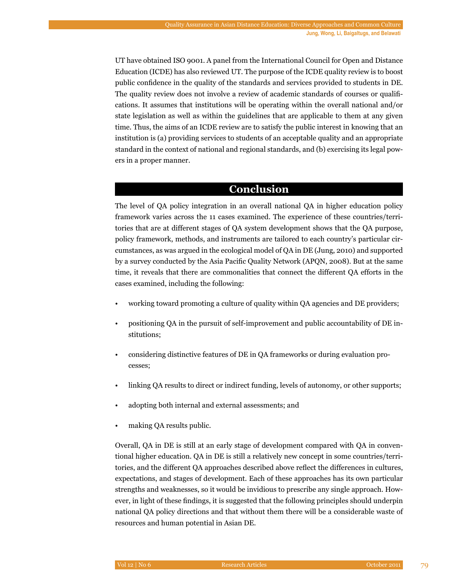UT have obtained ISO 9001. A panel from the International Council for Open and Distance Education (ICDE) has also reviewed UT. The purpose of the ICDE quality review is to boost public confidence in the quality of the standards and services provided to students in DE. The quality review does not involve a review of academic standards of courses or qualifications. It assumes that institutions will be operating within the overall national and/or state legislation as well as within the guidelines that are applicable to them at any given time. Thus, the aims of an ICDE review are to satisfy the public interest in knowing that an institution is (a) providing services to students of an acceptable quality and an appropriate standard in the context of national and regional standards, and (b) exercising its legal powers in a proper manner.

# **Conclusion**

The level of QA policy integration in an overall national QA in higher education policy framework varies across the 11 cases examined. The experience of these countries/territories that are at different stages of QA system development shows that the QA purpose, policy framework, methods, and instruments are tailored to each country's particular circumstances, as was argued in the ecological model of QA in DE (Jung, 2010) and supported by a survey conducted by the Asia Pacific Quality Network (APQN, 2008). But at the same time, it reveals that there are commonalities that connect the different QA efforts in the cases examined, including the following:

- working toward promoting a culture of quality within QA agencies and DE providers;
- positioning QA in the pursuit of self-improvement and public accountability of DE institutions;
- considering distinctive features of DE in QA frameworks or during evaluation processes;
- linking QA results to direct or indirect funding, levels of autonomy, or other supports;
- adopting both internal and external assessments; and
- making OA results public.

Overall, QA in DE is still at an early stage of development compared with QA in conventional higher education. QA in DE is still a relatively new concept in some countries/territories, and the different QA approaches described above reflect the differences in cultures, expectations, and stages of development. Each of these approaches has its own particular strengths and weaknesses, so it would be invidious to prescribe any single approach. However, in light of these findings, it is suggested that the following principles should underpin national QA policy directions and that without them there will be a considerable waste of resources and human potential in Asian DE.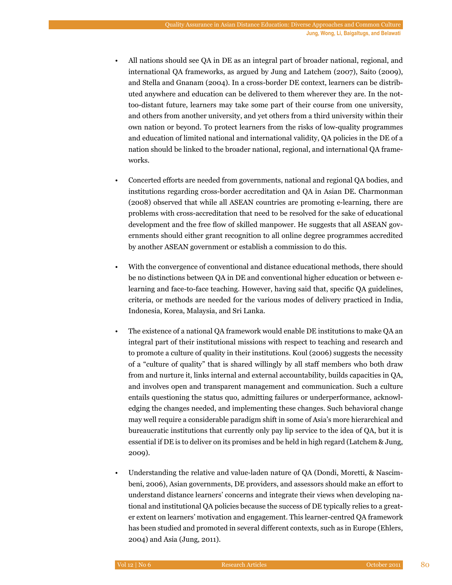- All nations should see QA in DE as an integral part of broader national, regional, and international QA frameworks, as argued by Jung and Latchem (2007), Saito (2009), and Stella and Gnanam (2004). In a cross-border DE context, learners can be distributed anywhere and education can be delivered to them wherever they are. In the nottoo-distant future, learners may take some part of their course from one university, and others from another university, and yet others from a third university within their own nation or beyond. To protect learners from the risks of low-quality programmes and education of limited national and international validity, QA policies in the DE of a nation should be linked to the broader national, regional, and international QA frameworks.
- Concerted efforts are needed from governments, national and regional QA bodies, and institutions regarding cross-border accreditation and QA in Asian DE. Charmonman (2008) observed that while all ASEAN countries are promoting e-learning, there are problems with cross-accreditation that need to be resolved for the sake of educational development and the free flow of skilled manpower. He suggests that all ASEAN governments should either grant recognition to all online degree programmes accredited by another ASEAN government or establish a commission to do this.
- With the convergence of conventional and distance educational methods, there should be no distinctions between QA in DE and conventional higher education or between elearning and face-to-face teaching. However, having said that, specific QA guidelines, criteria, or methods are needed for the various modes of delivery practiced in India, Indonesia, Korea, Malaysia, and Sri Lanka.
- The existence of a national QA framework would enable DE institutions to make QA an integral part of their institutional missions with respect to teaching and research and to promote a culture of quality in their institutions. Koul (2006) suggests the necessity of a "culture of quality" that is shared willingly by all staff members who both draw from and nurture it, links internal and external accountability, builds capacities in QA, and involves open and transparent management and communication. Such a culture entails questioning the status quo, admitting failures or underperformance, acknowledging the changes needed, and implementing these changes. Such behavioral change may well require a considerable paradigm shift in some of Asia's more hierarchical and bureaucratic institutions that currently only pay lip service to the idea of QA, but it is essential if DE is to deliver on its promises and be held in high regard (Latchem & Jung, 2009).
- Understanding the relative and value-laden nature of QA (Dondi, Moretti, & Nascimbeni, 2006), Asian governments, DE providers, and assessors should make an effort to understand distance learners' concerns and integrate their views when developing national and institutional QA policies because the success of DE typically relies to a greater extent on learners' motivation and engagement. This learner-centred QA framework has been studied and promoted in several different contexts, such as in Europe (Ehlers, 2004) and Asia (Jung, 2011).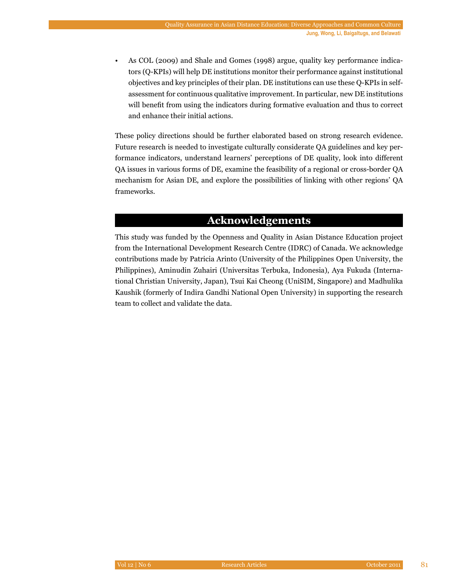• As COL (2009) and Shale and Gomes (1998) argue, quality key performance indicators (Q-KPIs) will help DE institutions monitor their performance against institutional objectives and key principles of their plan. DE institutions can use these Q-KPIs in selfassessment for continuous qualitative improvement. In particular, new DE institutions will benefit from using the indicators during formative evaluation and thus to correct and enhance their initial actions.

These policy directions should be further elaborated based on strong research evidence. Future research is needed to investigate culturally considerate QA guidelines and key performance indicators, understand learners' perceptions of DE quality, look into different QA issues in various forms of DE, examine the feasibility of a regional or cross-border QA mechanism for Asian DE, and explore the possibilities of linking with other regions' QA frameworks.

# **Acknowledgements**

This study was funded by the Openness and Quality in Asian Distance Education project from the International Development Research Centre (IDRC) of Canada. We acknowledge contributions made by Patricia Arinto (University of the Philippines Open University, the Philippines), Aminudin Zuhairi (Universitas Terbuka, Indonesia), Aya Fukuda (International Christian University, Japan), Tsui Kai Cheong (UniSIM, Singapore) and Madhulika Kaushik (formerly of Indira Gandhi National Open University) in supporting the research team to collect and validate the data.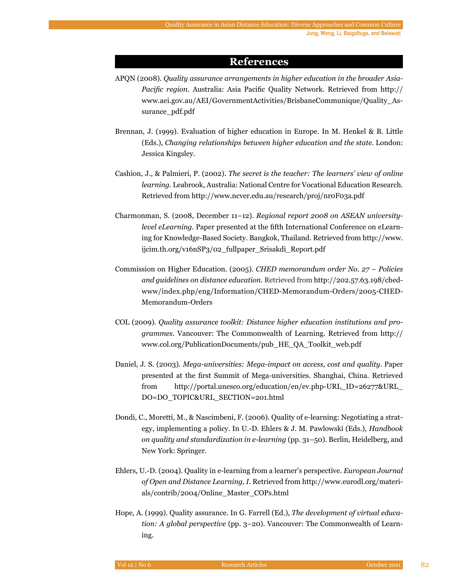# **References**

- APQN (2008). *Quality assurance arrangements in higher education in the broader Asia-Pacific region*. Australia: Asia Pacific Quality Network. Retrieved from [http://](http://www.aei.gov.au/AEI/GovernmentActivities/BrisbaneCommunique/Quality_Assurance_pdf.pdf) [www.aei.gov.au/AEI/GovernmentActivities/BrisbaneCommunique/Quality\\_As](http://www.aei.gov.au/AEI/GovernmentActivities/BrisbaneCommunique/Quality_Assurance_pdf.pdf)[surance\\_pdf.pdf](http://www.aei.gov.au/AEI/GovernmentActivities/BrisbaneCommunique/Quality_Assurance_pdf.pdf)
- Brennan, J. (1999). Evaluation of higher education in Europe. In M. Henkel & B. Little (Eds.), *Changing relationships between higher education and the state.* London: Jessica Kingsley.
- Cashion, J., & Palmieri, P. (2002). *The secret is the teacher: The learners' view of online learning.* Leabrook, Australia: National Centre for Vocational Education Research. Retrieved from <http://www.ncver.edu.au/research/proj/nr0F03a.pdf>
- Charmonman, S. (2008, December 11–12). *Regional report 2008 on ASEAN universitylevel eLearning*. Paper presented at the fifth International Conference on eLearning for Knowledge-Based Society. Bangkok, Thailand. Retrieved from [http://www.](http://www.ijcim.th.org/v16nSP3/02_fullpaper_Srisakdi_Report.pdf) [ijcim.th.org/v16nSP3/02\\_fullpaper\\_Srisakdi\\_Report.pdf](http://www.ijcim.th.org/v16nSP3/02_fullpaper_Srisakdi_Report.pdf)
- Commission on Higher Education. (2005). *CHED memorandum order No. 27 Policies and guidelines on distance education*. Retrieved from [http://202.57.63.198/ched](http://202.57.63.198/chedwww/index.php/eng/Information/CHED-Memorandum-Orders/2005)[www/index.php/eng/Information/CHED-Memorandum-Orders/2005-](http://202.57.63.198/chedwww/index.php/eng/Information/CHED-Memorandum-Orders/2005)CHED-Memorandum-Orders
- COL (2009). *Quality assurance toolkit: Distance higher education institutions and programmes*. Vancouver: The Commonwealth of Learning. Retrieved from [http://](http://www.col.org/PublicationDocuments/pub_HE_QA_Toolkit_web.pdf) [www.col.org/PublicationDocuments/pub\\_HE\\_QA\\_Toolkit\\_web.pdf](http://www.col.org/PublicationDocuments/pub_HE_QA_Toolkit_web.pdf)
- Daniel, J. S. (2003). *Mega-universities: Mega-impact on access, cost and quality.* Paper presented at the first Summit of Mega-universities. Shanghai, China. Retrieved from [http://portal.unesco.org/education/en/ev.php-](http://portal.unesco.org/education/en/ev.php)URL\_ID=26277&URL\_ DO=DO\_TOPIC&URL\_SECTION[=201.html](201.html)
- Dondi, C., Moretti, M., & Nascimbeni, F. (2006). Quality of e-learning: Negotiating a strategy, implementing a policy. In U.-D. Ehlers & J. M. Pawlowski (Eds.), *Handbook on quality and standardization in e-learning* (pp. 31–50). Berlin, Heidelberg, and New York: Springer.
- Ehlers, U.-D. (2004). Quality in e-learning from a learner's perspective. *European Journal of Open and Distance Learning, I.* Retrieved from [http://www.eurodl.org/materi](http://www.eurodl.org/materials/contrib/2004/Online_Master_COPs.html)[als/contrib/2004/Online\\_Master\\_COPs.html](http://www.eurodl.org/materials/contrib/2004/Online_Master_COPs.html)
- Hope, A. (1999). Quality assurance. In G. Farrell (Ed.), *The development of virtual education: A global perspective* (pp. 3–20). Vancouver: The Commonwealth of Learning.